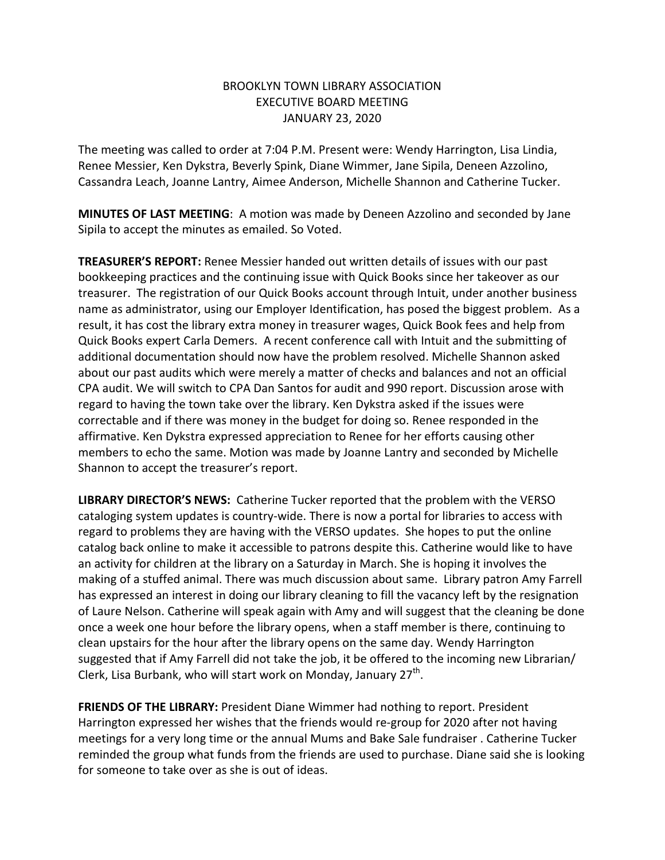## BROOKLYN TOWN LIBRARY ASSOCIATION EXECUTIVE BOARD MEETING JANUARY 23, 2020

The meeting was called to order at 7:04 P.M. Present were: Wendy Harrington, Lisa Lindia, Renee Messier, Ken Dykstra, Beverly Spink, Diane Wimmer, Jane Sipila, Deneen Azzolino, Cassandra Leach, Joanne Lantry, Aimee Anderson, Michelle Shannon and Catherine Tucker.

**MINUTES OF LAST MEETING**: A motion was made by Deneen Azzolino and seconded by Jane Sipila to accept the minutes as emailed. So Voted.

**TREASURER'S REPORT:** Renee Messier handed out written details of issues with our past bookkeeping practices and the continuing issue with Quick Books since her takeover as our treasurer. The registration of our Quick Books account through Intuit, under another business name as administrator, using our Employer Identification, has posed the biggest problem. As a result, it has cost the library extra money in treasurer wages, Quick Book fees and help from Quick Books expert Carla Demers. A recent conference call with Intuit and the submitting of additional documentation should now have the problem resolved. Michelle Shannon asked about our past audits which were merely a matter of checks and balances and not an official CPA audit. We will switch to CPA Dan Santos for audit and 990 report. Discussion arose with regard to having the town take over the library. Ken Dykstra asked if the issues were correctable and if there was money in the budget for doing so. Renee responded in the affirmative. Ken Dykstra expressed appreciation to Renee for her efforts causing other members to echo the same. Motion was made by Joanne Lantry and seconded by Michelle Shannon to accept the treasurer's report.

**LIBRARY DIRECTOR'S NEWS:** Catherine Tucker reported that the problem with the VERSO cataloging system updates is country-wide. There is now a portal for libraries to access with regard to problems they are having with the VERSO updates. She hopes to put the online catalog back online to make it accessible to patrons despite this. Catherine would like to have an activity for children at the library on a Saturday in March. She is hoping it involves the making of a stuffed animal. There was much discussion about same. Library patron Amy Farrell has expressed an interest in doing our library cleaning to fill the vacancy left by the resignation of Laure Nelson. Catherine will speak again with Amy and will suggest that the cleaning be done once a week one hour before the library opens, when a staff member is there, continuing to clean upstairs for the hour after the library opens on the same day. Wendy Harrington suggested that if Amy Farrell did not take the job, it be offered to the incoming new Librarian/ Clerk, Lisa Burbank, who will start work on Monday, January  $27^{th}$ .

**FRIENDS OF THE LIBRARY:** President Diane Wimmer had nothing to report. President Harrington expressed her wishes that the friends would re-group for 2020 after not having meetings for a very long time or the annual Mums and Bake Sale fundraiser . Catherine Tucker reminded the group what funds from the friends are used to purchase. Diane said she is looking for someone to take over as she is out of ideas.